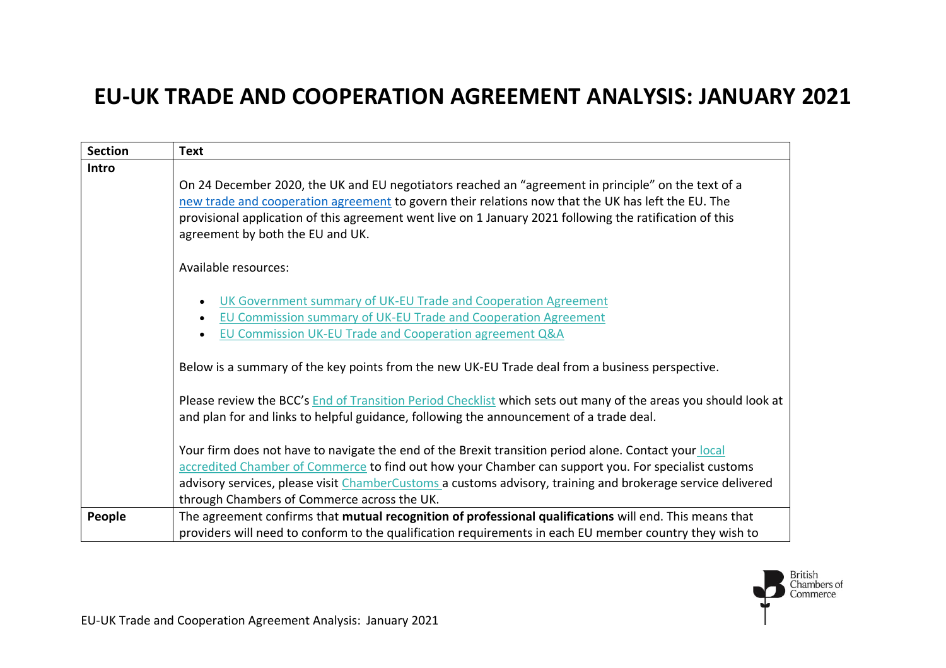## **EU-UK TRADE AND COOPERATION AGREEMENT ANALYSIS: JANUARY 2021**

| <b>Section</b> | <b>Text</b>                                                                                                                                                                                                                                                                                                                                                                |
|----------------|----------------------------------------------------------------------------------------------------------------------------------------------------------------------------------------------------------------------------------------------------------------------------------------------------------------------------------------------------------------------------|
| Intro          | On 24 December 2020, the UK and EU negotiators reached an "agreement in principle" on the text of a<br>new trade and cooperation agreement to govern their relations now that the UK has left the EU. The<br>provisional application of this agreement went live on 1 January 2021 following the ratification of this                                                      |
|                | agreement by both the EU and UK.                                                                                                                                                                                                                                                                                                                                           |
|                | Available resources:                                                                                                                                                                                                                                                                                                                                                       |
|                | UK Government summary of UK-EU Trade and Cooperation Agreement<br>$\bullet$<br>EU Commission summary of UK-EU Trade and Cooperation Agreement<br>$\bullet$<br>EU Commission UK-EU Trade and Cooperation agreement Q&A<br>$\bullet$                                                                                                                                         |
|                | Below is a summary of the key points from the new UK-EU Trade deal from a business perspective.                                                                                                                                                                                                                                                                            |
|                | Please review the BCC's End of Transition Period Checklist which sets out many of the areas you should look at<br>and plan for and links to helpful guidance, following the announcement of a trade deal.                                                                                                                                                                  |
|                | Your firm does not have to navigate the end of the Brexit transition period alone. Contact your local<br>accredited Chamber of Commerce to find out how your Chamber can support you. For specialist customs<br>advisory services, please visit ChamberCustoms a customs advisory, training and brokerage service delivered<br>through Chambers of Commerce across the UK. |
| People         | The agreement confirms that mutual recognition of professional qualifications will end. This means that<br>providers will need to conform to the qualification requirements in each EU member country they wish to                                                                                                                                                         |

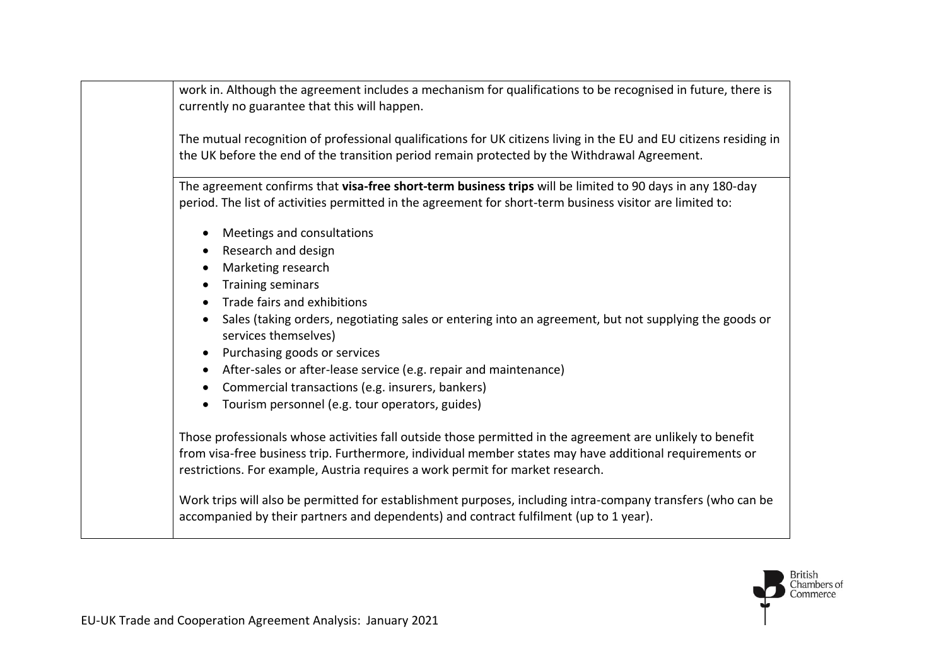work in. Although the agreement includes a mechanism for qualifications to be recognised in future, there is currently no guarantee that this will happen.

The mutual recognition of professional qualifications for UK citizens living in the EU and EU citizens residing in the UK before the end of the transition period remain protected by the Withdrawal Agreement.

The agreement confirms that **visa-free short-term business trips** will be limited to 90 days in any 180-day period. The list of activities permitted in the agreement for short-term business visitor are limited to:

- Meetings and consultations
- Research and design
- Marketing research
- Training seminars
- Trade fairs and exhibitions
- Sales (taking orders, negotiating sales or entering into an agreement, but not supplying the goods or services themselves)
- Purchasing goods or services
- After-sales or after-lease service (e.g. repair and maintenance)
- Commercial transactions (e.g. insurers, bankers)
- Tourism personnel (e.g. tour operators, guides)

Those professionals whose activities fall outside those permitted in the agreement are unlikely to benefit from visa-free business trip. Furthermore, individual member states may have additional requirements or restrictions. For example, Austria requires a work permit for market research.

Work trips will also be permitted for establishment purposes, including intra-company transfers (who can be accompanied by their partners and dependents) and contract fulfilment (up to 1 year).

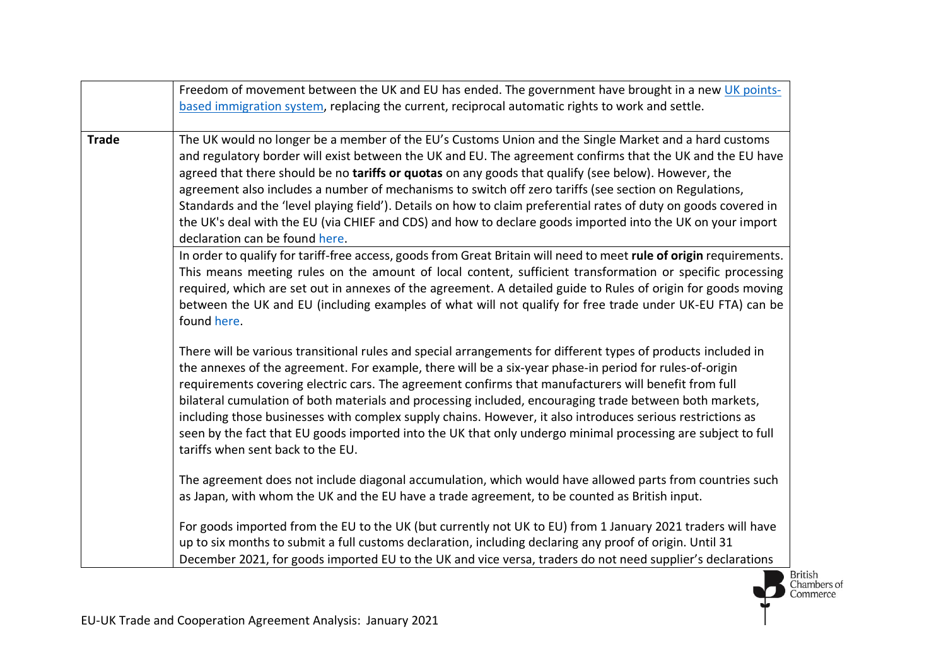|              | Freedom of movement between the UK and EU has ended. The government have brought in a new UK points-<br>based immigration system, replacing the current, reciprocal automatic rights to work and settle.                                                                                                                                                                                                                                                                                                                                                                                                                                                                                                        |
|--------------|-----------------------------------------------------------------------------------------------------------------------------------------------------------------------------------------------------------------------------------------------------------------------------------------------------------------------------------------------------------------------------------------------------------------------------------------------------------------------------------------------------------------------------------------------------------------------------------------------------------------------------------------------------------------------------------------------------------------|
| <b>Trade</b> | The UK would no longer be a member of the EU's Customs Union and the Single Market and a hard customs<br>and regulatory border will exist between the UK and EU. The agreement confirms that the UK and the EU have<br>agreed that there should be no tariffs or quotas on any goods that qualify (see below). However, the<br>agreement also includes a number of mechanisms to switch off zero tariffs (see section on Regulations,<br>Standards and the 'level playing field'). Details on how to claim preferential rates of duty on goods covered in<br>the UK's deal with the EU (via CHIEF and CDS) and how to declare goods imported into the UK on your import                                         |
|              | declaration can be found here.<br>In order to qualify for tariff-free access, goods from Great Britain will need to meet rule of origin requirements.<br>This means meeting rules on the amount of local content, sufficient transformation or specific processing<br>required, which are set out in annexes of the agreement. A detailed guide to Rules of origin for goods moving<br>between the UK and EU (including examples of what will not qualify for free trade under UK-EU FTA) can be<br>found here.                                                                                                                                                                                                 |
|              | There will be various transitional rules and special arrangements for different types of products included in<br>the annexes of the agreement. For example, there will be a six-year phase-in period for rules-of-origin<br>requirements covering electric cars. The agreement confirms that manufacturers will benefit from full<br>bilateral cumulation of both materials and processing included, encouraging trade between both markets,<br>including those businesses with complex supply chains. However, it also introduces serious restrictions as<br>seen by the fact that EU goods imported into the UK that only undergo minimal processing are subject to full<br>tariffs when sent back to the EU. |
|              | The agreement does not include diagonal accumulation, which would have allowed parts from countries such<br>as Japan, with whom the UK and the EU have a trade agreement, to be counted as British input.                                                                                                                                                                                                                                                                                                                                                                                                                                                                                                       |
|              | For goods imported from the EU to the UK (but currently not UK to EU) from 1 January 2021 traders will have<br>up to six months to submit a full customs declaration, including declaring any proof of origin. Until 31<br>December 2021, for goods imported EU to the UK and vice versa, traders do not need supplier's declarations                                                                                                                                                                                                                                                                                                                                                                           |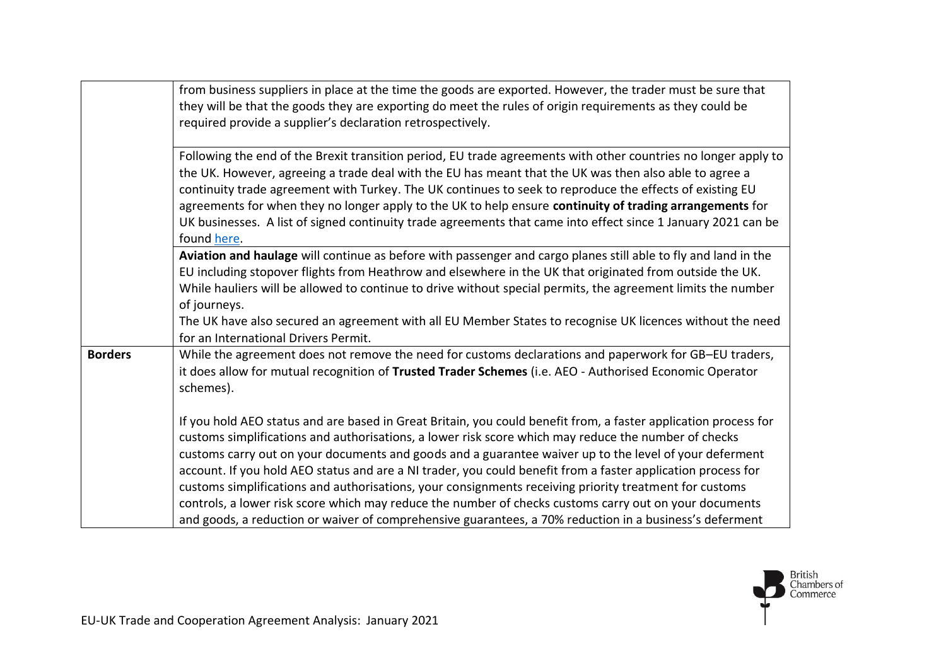|                | from business suppliers in place at the time the goods are exported. However, the trader must be sure that<br>they will be that the goods they are exporting do meet the rules of origin requirements as they could be<br>required provide a supplier's declaration retrospectively.                                                                                                                                                             |
|----------------|--------------------------------------------------------------------------------------------------------------------------------------------------------------------------------------------------------------------------------------------------------------------------------------------------------------------------------------------------------------------------------------------------------------------------------------------------|
|                | Following the end of the Brexit transition period, EU trade agreements with other countries no longer apply to<br>the UK. However, agreeing a trade deal with the EU has meant that the UK was then also able to agree a<br>continuity trade agreement with Turkey. The UK continues to seek to reproduce the effects of existing EU<br>agreements for when they no longer apply to the UK to help ensure continuity of trading arrangements for |
|                | UK businesses. A list of signed continuity trade agreements that came into effect since 1 January 2021 can be<br>found here.                                                                                                                                                                                                                                                                                                                     |
|                | Aviation and haulage will continue as before with passenger and cargo planes still able to fly and land in the<br>EU including stopover flights from Heathrow and elsewhere in the UK that originated from outside the UK.<br>While hauliers will be allowed to continue to drive without special permits, the agreement limits the number<br>of journeys.                                                                                       |
|                | The UK have also secured an agreement with all EU Member States to recognise UK licences without the need<br>for an International Drivers Permit.                                                                                                                                                                                                                                                                                                |
| <b>Borders</b> | While the agreement does not remove the need for customs declarations and paperwork for GB-EU traders,<br>it does allow for mutual recognition of Trusted Trader Schemes (i.e. AEO - Authorised Economic Operator<br>schemes).                                                                                                                                                                                                                   |
|                | If you hold AEO status and are based in Great Britain, you could benefit from, a faster application process for<br>customs simplifications and authorisations, a lower risk score which may reduce the number of checks<br>customs carry out on your documents and goods and a guarantee waiver up to the level of your deferment                                                                                                                |
|                | account. If you hold AEO status and are a NI trader, you could benefit from a faster application process for<br>customs simplifications and authorisations, your consignments receiving priority treatment for customs                                                                                                                                                                                                                           |
|                | controls, a lower risk score which may reduce the number of checks customs carry out on your documents<br>and goods, a reduction or waiver of comprehensive guarantees, a 70% reduction in a business's deferment                                                                                                                                                                                                                                |

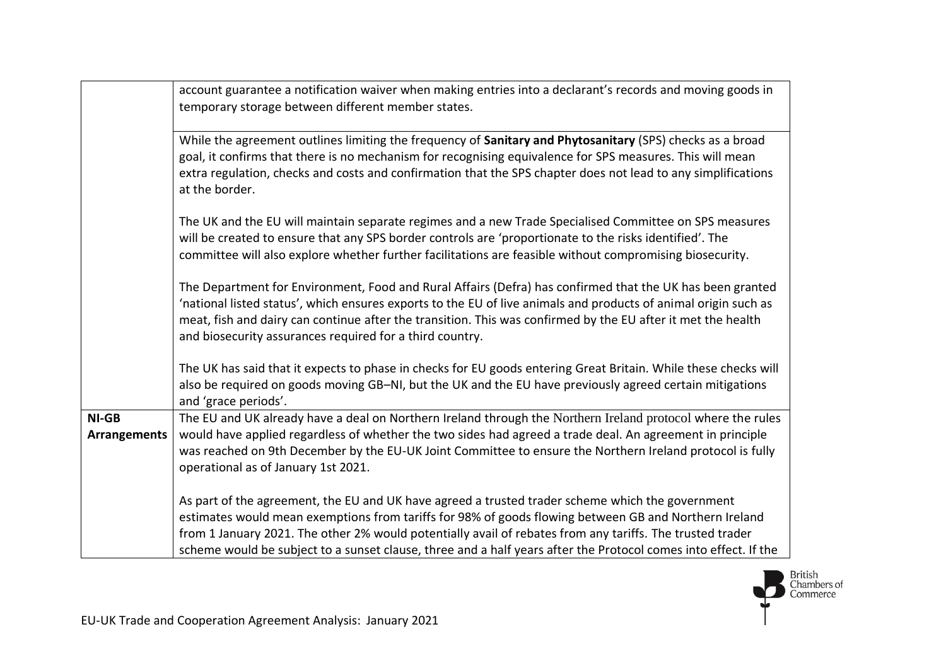|                              | account guarantee a notification waiver when making entries into a declarant's records and moving goods in<br>temporary storage between different member states.                                                                                                                                                                                                                                                                          |
|------------------------------|-------------------------------------------------------------------------------------------------------------------------------------------------------------------------------------------------------------------------------------------------------------------------------------------------------------------------------------------------------------------------------------------------------------------------------------------|
|                              | While the agreement outlines limiting the frequency of Sanitary and Phytosanitary (SPS) checks as a broad<br>goal, it confirms that there is no mechanism for recognising equivalence for SPS measures. This will mean<br>extra regulation, checks and costs and confirmation that the SPS chapter does not lead to any simplifications<br>at the border.                                                                                 |
|                              | The UK and the EU will maintain separate regimes and a new Trade Specialised Committee on SPS measures<br>will be created to ensure that any SPS border controls are 'proportionate to the risks identified'. The<br>committee will also explore whether further facilitations are feasible without compromising biosecurity.                                                                                                             |
|                              | The Department for Environment, Food and Rural Affairs (Defra) has confirmed that the UK has been granted<br>'national listed status', which ensures exports to the EU of live animals and products of animal origin such as<br>meat, fish and dairy can continue after the transition. This was confirmed by the EU after it met the health<br>and biosecurity assurances required for a third country.                                  |
|                              | The UK has said that it expects to phase in checks for EU goods entering Great Britain. While these checks will<br>also be required on goods moving GB-NI, but the UK and the EU have previously agreed certain mitigations<br>and 'grace periods'.                                                                                                                                                                                       |
| NI-GB<br><b>Arrangements</b> | The EU and UK already have a deal on Northern Ireland through the Northern Ireland protocol where the rules<br>would have applied regardless of whether the two sides had agreed a trade deal. An agreement in principle<br>was reached on 9th December by the EU-UK Joint Committee to ensure the Northern Ireland protocol is fully<br>operational as of January 1st 2021.                                                              |
|                              | As part of the agreement, the EU and UK have agreed a trusted trader scheme which the government<br>estimates would mean exemptions from tariffs for 98% of goods flowing between GB and Northern Ireland<br>from 1 January 2021. The other 2% would potentially avail of rebates from any tariffs. The trusted trader<br>scheme would be subject to a sunset clause, three and a half years after the Protocol comes into effect. If the |

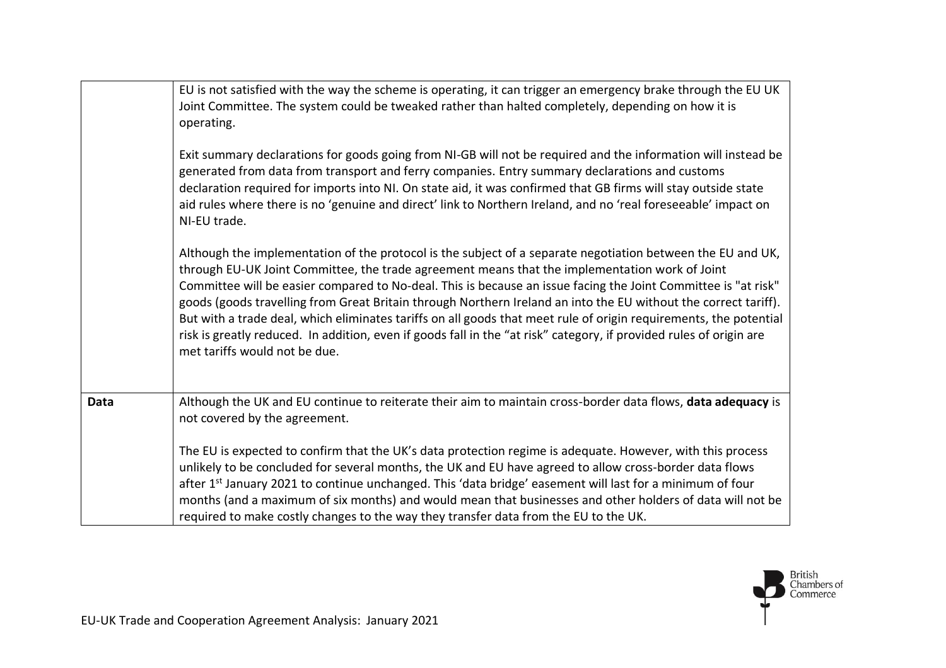|      | EU is not satisfied with the way the scheme is operating, it can trigger an emergency brake through the EU UK<br>Joint Committee. The system could be tweaked rather than halted completely, depending on how it is<br>operating.<br>Exit summary declarations for goods going from NI-GB will not be required and the information will instead be<br>generated from data from transport and ferry companies. Entry summary declarations and customs<br>declaration required for imports into NI. On state aid, it was confirmed that GB firms will stay outside state<br>aid rules where there is no 'genuine and direct' link to Northern Ireland, and no 'real foreseeable' impact on                                                        |
|------|-------------------------------------------------------------------------------------------------------------------------------------------------------------------------------------------------------------------------------------------------------------------------------------------------------------------------------------------------------------------------------------------------------------------------------------------------------------------------------------------------------------------------------------------------------------------------------------------------------------------------------------------------------------------------------------------------------------------------------------------------|
|      | NI-EU trade.<br>Although the implementation of the protocol is the subject of a separate negotiation between the EU and UK,<br>through EU-UK Joint Committee, the trade agreement means that the implementation work of Joint<br>Committee will be easier compared to No-deal. This is because an issue facing the Joint Committee is "at risk"<br>goods (goods travelling from Great Britain through Northern Ireland an into the EU without the correct tariff).<br>But with a trade deal, which eliminates tariffs on all goods that meet rule of origin requirements, the potential<br>risk is greatly reduced. In addition, even if goods fall in the "at risk" category, if provided rules of origin are<br>met tariffs would not be due. |
| Data | Although the UK and EU continue to reiterate their aim to maintain cross-border data flows, data adequacy is<br>not covered by the agreement.<br>The EU is expected to confirm that the UK's data protection regime is adequate. However, with this process<br>unlikely to be concluded for several months, the UK and EU have agreed to allow cross-border data flows<br>after 1 <sup>st</sup> January 2021 to continue unchanged. This 'data bridge' easement will last for a minimum of four                                                                                                                                                                                                                                                 |
|      | months (and a maximum of six months) and would mean that businesses and other holders of data will not be<br>required to make costly changes to the way they transfer data from the EU to the UK.                                                                                                                                                                                                                                                                                                                                                                                                                                                                                                                                               |

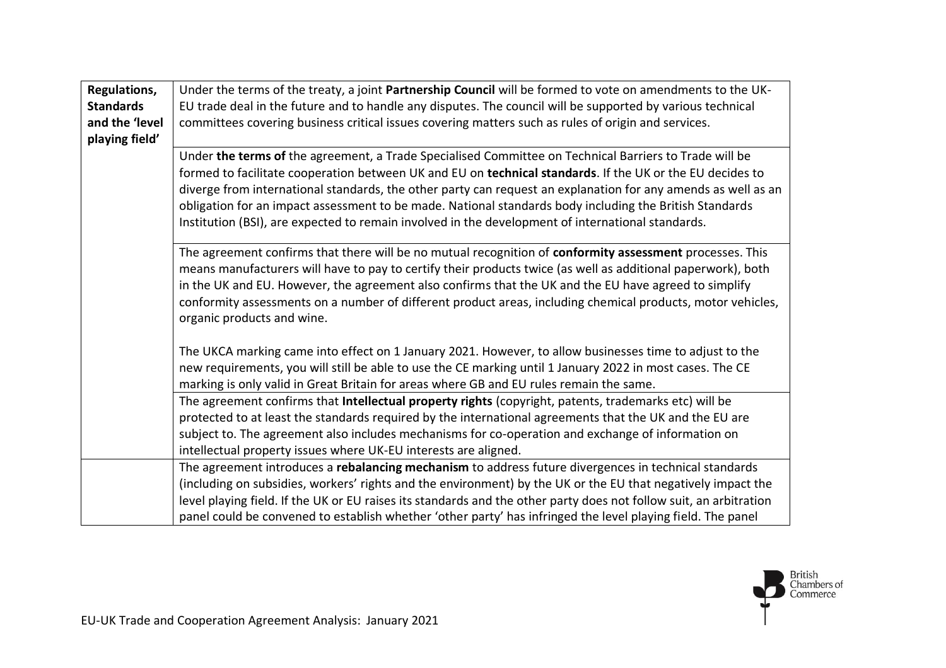| Regulations,     | Under the terms of the treaty, a joint Partnership Council will be formed to vote on amendments to the UK-                                                                                                                                                                                                                                                                                                                                                                                                                                           |
|------------------|------------------------------------------------------------------------------------------------------------------------------------------------------------------------------------------------------------------------------------------------------------------------------------------------------------------------------------------------------------------------------------------------------------------------------------------------------------------------------------------------------------------------------------------------------|
| <b>Standards</b> | EU trade deal in the future and to handle any disputes. The council will be supported by various technical                                                                                                                                                                                                                                                                                                                                                                                                                                           |
| and the 'level   | committees covering business critical issues covering matters such as rules of origin and services.                                                                                                                                                                                                                                                                                                                                                                                                                                                  |
| playing field'   |                                                                                                                                                                                                                                                                                                                                                                                                                                                                                                                                                      |
|                  | Under the terms of the agreement, a Trade Specialised Committee on Technical Barriers to Trade will be<br>formed to facilitate cooperation between UK and EU on technical standards. If the UK or the EU decides to<br>diverge from international standards, the other party can request an explanation for any amends as well as an<br>obligation for an impact assessment to be made. National standards body including the British Standards<br>Institution (BSI), are expected to remain involved in the development of international standards. |
|                  | The agreement confirms that there will be no mutual recognition of conformity assessment processes. This<br>means manufacturers will have to pay to certify their products twice (as well as additional paperwork), both<br>in the UK and EU. However, the agreement also confirms that the UK and the EU have agreed to simplify<br>conformity assessments on a number of different product areas, including chemical products, motor vehicles,<br>organic products and wine.                                                                       |
|                  | The UKCA marking came into effect on 1 January 2021. However, to allow businesses time to adjust to the<br>new requirements, you will still be able to use the CE marking until 1 January 2022 in most cases. The CE<br>marking is only valid in Great Britain for areas where GB and EU rules remain the same.                                                                                                                                                                                                                                      |
|                  | The agreement confirms that Intellectual property rights (copyright, patents, trademarks etc) will be                                                                                                                                                                                                                                                                                                                                                                                                                                                |
|                  | protected to at least the standards required by the international agreements that the UK and the EU are                                                                                                                                                                                                                                                                                                                                                                                                                                              |
|                  | subject to. The agreement also includes mechanisms for co-operation and exchange of information on                                                                                                                                                                                                                                                                                                                                                                                                                                                   |
|                  | intellectual property issues where UK-EU interests are aligned.                                                                                                                                                                                                                                                                                                                                                                                                                                                                                      |
|                  | The agreement introduces a rebalancing mechanism to address future divergences in technical standards                                                                                                                                                                                                                                                                                                                                                                                                                                                |
|                  | (including on subsidies, workers' rights and the environment) by the UK or the EU that negatively impact the                                                                                                                                                                                                                                                                                                                                                                                                                                         |
|                  | level playing field. If the UK or EU raises its standards and the other party does not follow suit, an arbitration                                                                                                                                                                                                                                                                                                                                                                                                                                   |
|                  | panel could be convened to establish whether 'other party' has infringed the level playing field. The panel                                                                                                                                                                                                                                                                                                                                                                                                                                          |

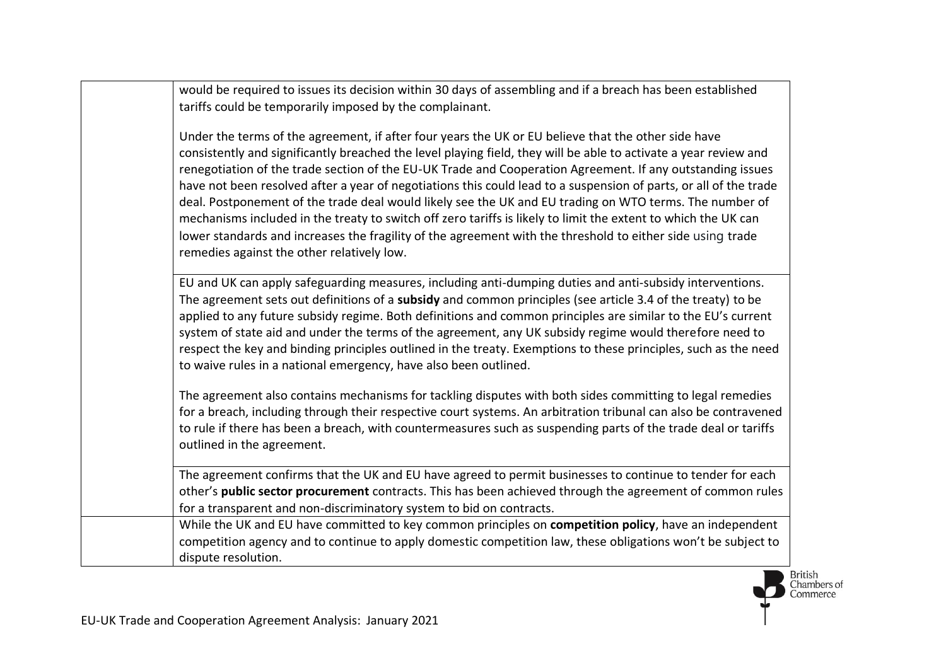| would be required to issues its decision within 30 days of assembling and if a breach has been established                                                                                                                                                                                                                                                                                                                                                                                                                                                                                                                                                                                                                                                                                                                                          |
|-----------------------------------------------------------------------------------------------------------------------------------------------------------------------------------------------------------------------------------------------------------------------------------------------------------------------------------------------------------------------------------------------------------------------------------------------------------------------------------------------------------------------------------------------------------------------------------------------------------------------------------------------------------------------------------------------------------------------------------------------------------------------------------------------------------------------------------------------------|
| tariffs could be temporarily imposed by the complainant.                                                                                                                                                                                                                                                                                                                                                                                                                                                                                                                                                                                                                                                                                                                                                                                            |
| Under the terms of the agreement, if after four years the UK or EU believe that the other side have<br>consistently and significantly breached the level playing field, they will be able to activate a year review and<br>renegotiation of the trade section of the EU-UK Trade and Cooperation Agreement. If any outstanding issues<br>have not been resolved after a year of negotiations this could lead to a suspension of parts, or all of the trade<br>deal. Postponement of the trade deal would likely see the UK and EU trading on WTO terms. The number of<br>mechanisms included in the treaty to switch off zero tariffs is likely to limit the extent to which the UK can<br>lower standards and increases the fragility of the agreement with the threshold to either side using trade<br>remedies against the other relatively low. |
| EU and UK can apply safeguarding measures, including anti-dumping duties and anti-subsidy interventions.<br>The agreement sets out definitions of a subsidy and common principles (see article 3.4 of the treaty) to be<br>applied to any future subsidy regime. Both definitions and common principles are similar to the EU's current<br>system of state aid and under the terms of the agreement, any UK subsidy regime would therefore need to<br>respect the key and binding principles outlined in the treaty. Exemptions to these principles, such as the need<br>to waive rules in a national emergency, have also been outlined.                                                                                                                                                                                                           |
| The agreement also contains mechanisms for tackling disputes with both sides committing to legal remedies<br>for a breach, including through their respective court systems. An arbitration tribunal can also be contravened<br>to rule if there has been a breach, with countermeasures such as suspending parts of the trade deal or tariffs<br>outlined in the agreement.                                                                                                                                                                                                                                                                                                                                                                                                                                                                        |
| The agreement confirms that the UK and EU have agreed to permit businesses to continue to tender for each<br>other's public sector procurement contracts. This has been achieved through the agreement of common rules<br>for a transparent and non-discriminatory system to bid on contracts.                                                                                                                                                                                                                                                                                                                                                                                                                                                                                                                                                      |
| While the UK and EU have committed to key common principles on competition policy, have an independent<br>competition agency and to continue to apply domestic competition law, these obligations won't be subject to<br>dispute resolution.                                                                                                                                                                                                                                                                                                                                                                                                                                                                                                                                                                                                        |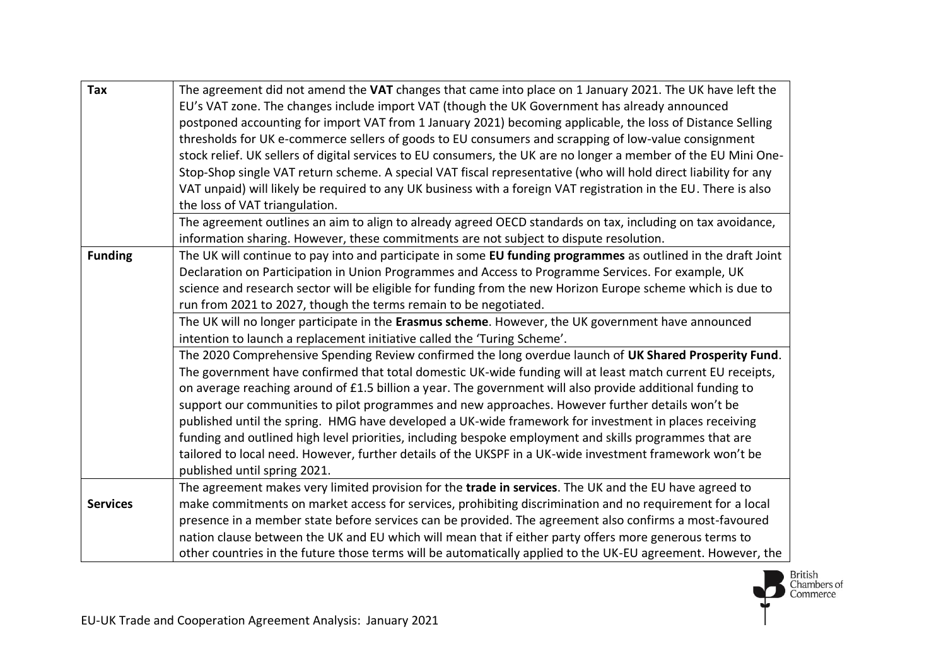| <b>Tax</b>      | The agreement did not amend the VAT changes that came into place on 1 January 2021. The UK have left the<br>EU's VAT zone. The changes include import VAT (though the UK Government has already announced<br>postponed accounting for import VAT from 1 January 2021) becoming applicable, the loss of Distance Selling<br>thresholds for UK e-commerce sellers of goods to EU consumers and scrapping of low-value consignment                                                                                                                                                                                                                                                                                                                                                                                                                                                                                                                                                                                                                                                                                                                                                                                                                                                                                                                                                                   |
|-----------------|---------------------------------------------------------------------------------------------------------------------------------------------------------------------------------------------------------------------------------------------------------------------------------------------------------------------------------------------------------------------------------------------------------------------------------------------------------------------------------------------------------------------------------------------------------------------------------------------------------------------------------------------------------------------------------------------------------------------------------------------------------------------------------------------------------------------------------------------------------------------------------------------------------------------------------------------------------------------------------------------------------------------------------------------------------------------------------------------------------------------------------------------------------------------------------------------------------------------------------------------------------------------------------------------------------------------------------------------------------------------------------------------------|
|                 | stock relief. UK sellers of digital services to EU consumers, the UK are no longer a member of the EU Mini One-<br>Stop-Shop single VAT return scheme. A special VAT fiscal representative (who will hold direct liability for any<br>VAT unpaid) will likely be required to any UK business with a foreign VAT registration in the EU. There is also<br>the loss of VAT triangulation.                                                                                                                                                                                                                                                                                                                                                                                                                                                                                                                                                                                                                                                                                                                                                                                                                                                                                                                                                                                                           |
|                 | The agreement outlines an aim to align to already agreed OECD standards on tax, including on tax avoidance,<br>information sharing. However, these commitments are not subject to dispute resolution.                                                                                                                                                                                                                                                                                                                                                                                                                                                                                                                                                                                                                                                                                                                                                                                                                                                                                                                                                                                                                                                                                                                                                                                             |
| <b>Funding</b>  | The UK will continue to pay into and participate in some EU funding programmes as outlined in the draft Joint<br>Declaration on Participation in Union Programmes and Access to Programme Services. For example, UK<br>science and research sector will be eligible for funding from the new Horizon Europe scheme which is due to<br>run from 2021 to 2027, though the terms remain to be negotiated.<br>The UK will no longer participate in the Erasmus scheme. However, the UK government have announced<br>intention to launch a replacement initiative called the 'Turing Scheme'.<br>The 2020 Comprehensive Spending Review confirmed the long overdue launch of UK Shared Prosperity Fund.<br>The government have confirmed that total domestic UK-wide funding will at least match current EU receipts,<br>on average reaching around of £1.5 billion a year. The government will also provide additional funding to<br>support our communities to pilot programmes and new approaches. However further details won't be<br>published until the spring. HMG have developed a UK-wide framework for investment in places receiving<br>funding and outlined high level priorities, including bespoke employment and skills programmes that are<br>tailored to local need. However, further details of the UKSPF in a UK-wide investment framework won't be<br>published until spring 2021. |
| <b>Services</b> | The agreement makes very limited provision for the trade in services. The UK and the EU have agreed to<br>make commitments on market access for services, prohibiting discrimination and no requirement for a local<br>presence in a member state before services can be provided. The agreement also confirms a most-favoured                                                                                                                                                                                                                                                                                                                                                                                                                                                                                                                                                                                                                                                                                                                                                                                                                                                                                                                                                                                                                                                                    |
|                 | nation clause between the UK and EU which will mean that if either party offers more generous terms to<br>other countries in the future those terms will be automatically applied to the UK-EU agreement. However, the                                                                                                                                                                                                                                                                                                                                                                                                                                                                                                                                                                                                                                                                                                                                                                                                                                                                                                                                                                                                                                                                                                                                                                            |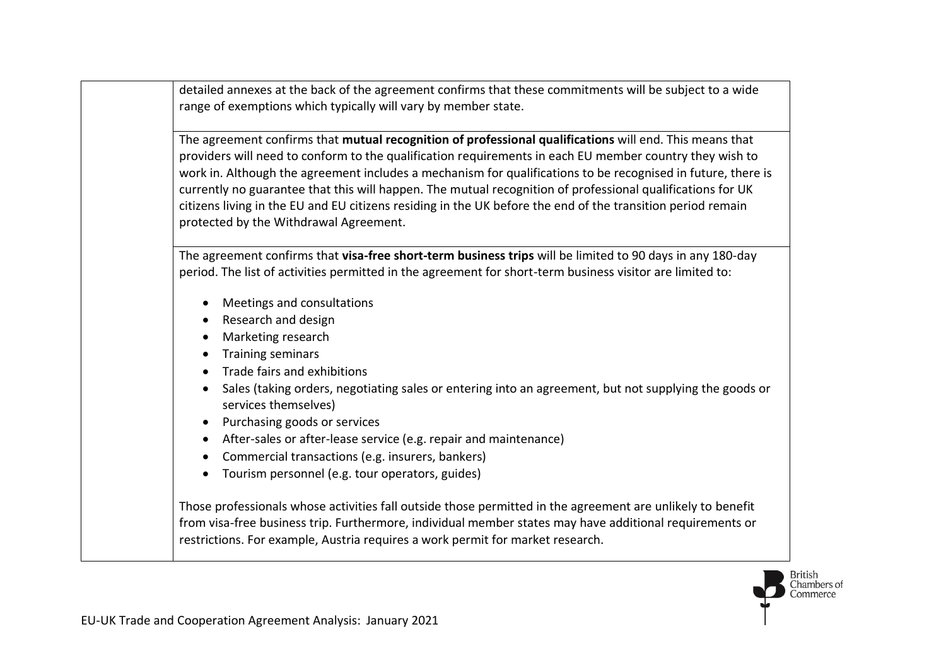detailed annexes at the back of the agreement confirms that these commitments will be subject to a wide range of exemptions which typically will vary by member state.

The agreement confirms that **mutual recognition of professional qualifications** will end. This means that providers will need to conform to the qualification requirements in each EU member country they wish to work in. Although the agreement includes a mechanism for qualifications to be recognised in future, there is currently no guarantee that this will happen. The mutual recognition of professional qualifications for UK citizens living in the EU and EU citizens residing in the UK before the end of the transition period remain protected by the Withdrawal Agreement.

The agreement confirms that **visa-free short-term business trips** will be limited to 90 days in any 180-day period. The list of activities permitted in the agreement for short-term business visitor are limited to:

- Meetings and consultations
- Research and design
- Marketing research
- Training seminars
- Trade fairs and exhibitions
- Sales (taking orders, negotiating sales or entering into an agreement, but not supplying the goods or services themselves)
- Purchasing goods or services
- After-sales or after-lease service (e.g. repair and maintenance)
- Commercial transactions (e.g. insurers, bankers)
- Tourism personnel (e.g. tour operators, guides)

Those professionals whose activities fall outside those permitted in the agreement are unlikely to benefit from visa-free business trip. Furthermore, individual member states may have additional requirements or restrictions. For example, Austria requires a work permit for market research.